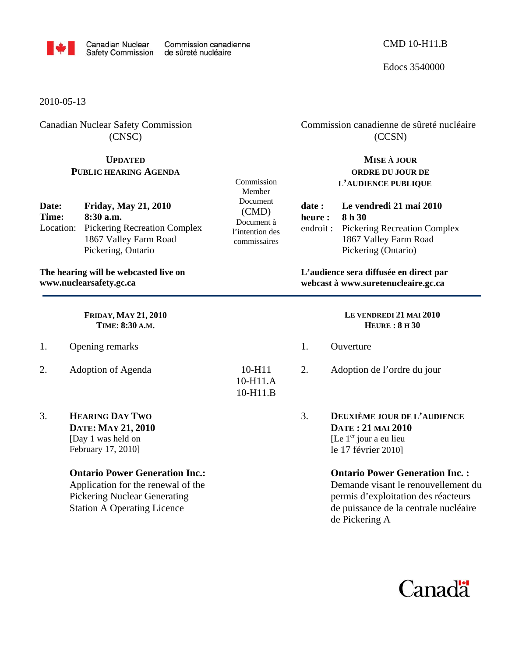

Commission Member Document (CMD) Document à l'intention des commissaires

Edocs 3540000

2010-05-13

Canadian Nuclear Safety Commission (CNSC)

## **UPDATED PUBLIC HEARING AGENDA**

| Date: | <b>Friday, May 21, 2010</b>            |  |  |  |
|-------|----------------------------------------|--|--|--|
| Time: | $8:30$ a.m.                            |  |  |  |
|       | Location: Pickering Recreation Complex |  |  |  |
|       | 1867 Valley Farm Road                  |  |  |  |
|       | Pickering, Ontario                     |  |  |  |

**The hearing will be webcasted live on www.nuclearsafety.gc.ca**

> **FRIDAY, MAY 21, 2010 TIME: 8:30 A.M.**

- 1. Opening remarks
- 2. Adoption of Agenda
- 3. **HEARING DAY TWO DATE: MAY 21, 2010**  [Day 1 was held on February 17, 2010]

## **Ontario Power Generation Inc.:**

Application for the renewal of the Pickering Nuclear Generating Station A Operating Licence

 Commission canadienne de sûreté nucléaire (CCSN)

## **MISE À JOUR ORDRE DU JOUR DE L'AUDIENCE PUBLIQUE**

**date : Le vendredi 21 mai 2010 heure : 8 h 30**  endroit : Pickering Recreation Complex 1867 Valley Farm Road Pickering (Ontario)

**L'audience sera diffusée en direct par webcast à www.suretenucleaire.gc.ca**

|                                      |         | LE VENDREDI 21 MAI 2010<br>HEURE: 8H 30                                                            |
|--------------------------------------|---------|----------------------------------------------------------------------------------------------------|
|                                      | $1_{-}$ | Ouverture                                                                                          |
| $10 - H11$<br>10-H11.A<br>$10-H11.B$ | 2.      | Adoption de l'ordre du jour                                                                        |
|                                      | 3.      | DEUXIÈME JOUR DE L'AUDIENCE<br>DATE: 21 MAI 2010<br>[Le $1er$ jour a eu lieu<br>le 17 février 2010 |

## **Ontario Power Generation Inc. :**

Demande visant le renouvellement du permis d'exploitation des réacteurs de puissance de la centrale nucléaire de Pickering A

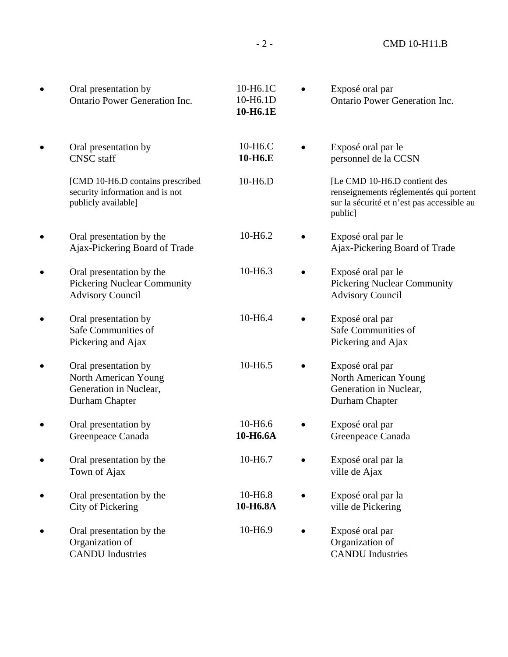| Oral presentation by<br><b>Ontario Power Generation Inc.</b>                               | 10-H6.1C<br>10-H6.1D<br>10-H6.1E             | Exposé oral par<br><b>Ontario Power Generation Inc.</b>                                                                         |
|--------------------------------------------------------------------------------------------|----------------------------------------------|---------------------------------------------------------------------------------------------------------------------------------|
| Oral presentation by<br><b>CNSC</b> staff                                                  | 10-H <sub>6</sub> .C<br>10-H <sub>6</sub> .E | Exposé oral par le<br>personnel de la CCSN                                                                                      |
| [CMD 10-H6.D contains prescribed<br>security information and is not<br>publicly available] | 10-H <sub>6</sub> .D                         | [Le CMD 10-H6.D contient des<br>renseignements réglementés qui portent<br>sur la sécurité et n'est pas accessible au<br>public] |
| Oral presentation by the<br>Ajax-Pickering Board of Trade                                  | 10-H <sub>6.2</sub>                          | Exposé oral par le<br>Ajax-Pickering Board of Trade                                                                             |
| Oral presentation by the<br><b>Pickering Nuclear Community</b><br><b>Advisory Council</b>  | 10-H <sub>6.3</sub>                          | Exposé oral par le<br><b>Pickering Nuclear Community</b><br><b>Advisory Council</b>                                             |
| Oral presentation by<br>Safe Communities of<br>Pickering and Ajax                          | 10-H6.4                                      | Exposé oral par<br>Safe Communities of<br>Pickering and Ajax                                                                    |
| Oral presentation by<br>North American Young<br>Generation in Nuclear,<br>Durham Chapter   | 10-H <sub>6.5</sub>                          | Exposé oral par<br>North American Young<br>Generation in Nuclear,<br>Durham Chapter                                             |
| Oral presentation by<br>Greenpeace Canada                                                  | 10-H <sub>6.6</sub><br>10-H6.6A              | Exposé oral par<br>Greenpeace Canada                                                                                            |
| Oral presentation by the<br>Town of Ajax                                                   | 10-H6.7                                      | Exposé oral par la<br>ville de Ajax                                                                                             |
| Oral presentation by the<br>City of Pickering                                              | 10-H <sub>6.8</sub><br>10-H6.8A              | Exposé oral par la<br>ville de Pickering                                                                                        |
| Oral presentation by the<br>Organization of<br><b>CANDU</b> Industries                     | 10-H6.9                                      | Exposé oral par<br>Organization of<br><b>CANDU</b> Industries                                                                   |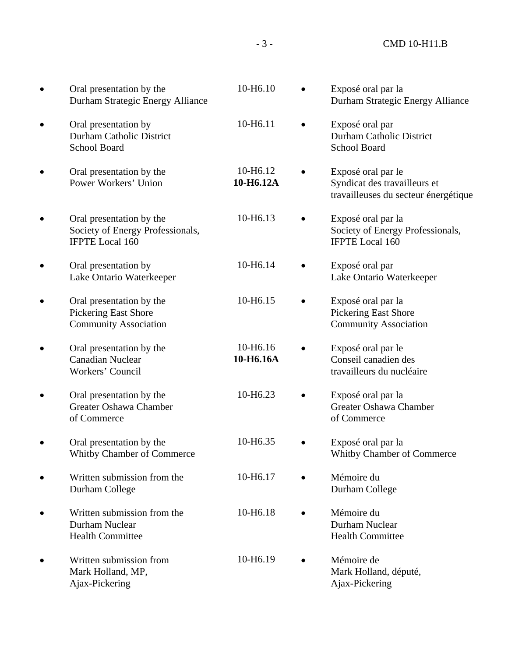- 3 - CMD 10-H11.B

| Oral presentation by the<br>Durham Strategic Energy Alliance                            | 10-H6.10              |           | Exposé oral par la<br>Durham Strategic Energy Alliance                                     |
|-----------------------------------------------------------------------------------------|-----------------------|-----------|--------------------------------------------------------------------------------------------|
| Oral presentation by<br><b>Durham Catholic District</b><br>School Board                 | 10-H6.11              |           | Exposé oral par<br><b>Durham Catholic District</b><br><b>School Board</b>                  |
| Oral presentation by the<br>Power Workers' Union                                        | 10-H6.12<br>10-H6.12A |           | Exposé oral par le<br>Syndicat des travailleurs et<br>travailleuses du secteur énergétique |
| Oral presentation by the<br>Society of Energy Professionals,<br><b>IFPTE Local 160</b>  | 10-H6.13              |           | Exposé oral par la<br>Society of Energy Professionals,<br><b>IFPTE Local 160</b>           |
| Oral presentation by<br>Lake Ontario Waterkeeper                                        | 10-H6.14              |           | Exposé oral par<br>Lake Ontario Waterkeeper                                                |
| Oral presentation by the<br><b>Pickering East Shore</b><br><b>Community Association</b> | 10-H6.15              |           | Exposé oral par la<br><b>Pickering East Shore</b><br><b>Community Association</b>          |
| Oral presentation by the<br><b>Canadian Nuclear</b><br>Workers' Council                 | 10-H6.16<br>10-H6.16A |           | Exposé oral par le<br>Conseil canadien des<br>travailleurs du nucléaire                    |
| Oral presentation by the<br>Greater Oshawa Chamber<br>of Commerce                       | 10-H6.23              |           | Exposé oral par la<br>Greater Oshawa Chamber<br>of Commerce                                |
| Oral presentation by the<br>Whitby Chamber of Commerce                                  | 10-H6.35              |           | Exposé oral par la<br>Whitby Chamber of Commerce                                           |
| Written submission from the<br>Durham College                                           | 10-H6.17              |           | Mémoire du<br>Durham College                                                               |
| Written submission from the<br>Durham Nuclear<br><b>Health Committee</b>                | 10-H6.18              |           | Mémoire du<br>Durham Nuclear<br><b>Health Committee</b>                                    |
| Written submission from<br>Mark Holland, MP,<br>Ajax-Pickering                          | 10-H6.19              | $\bullet$ | Mémoire de<br>Mark Holland, député,<br>Ajax-Pickering                                      |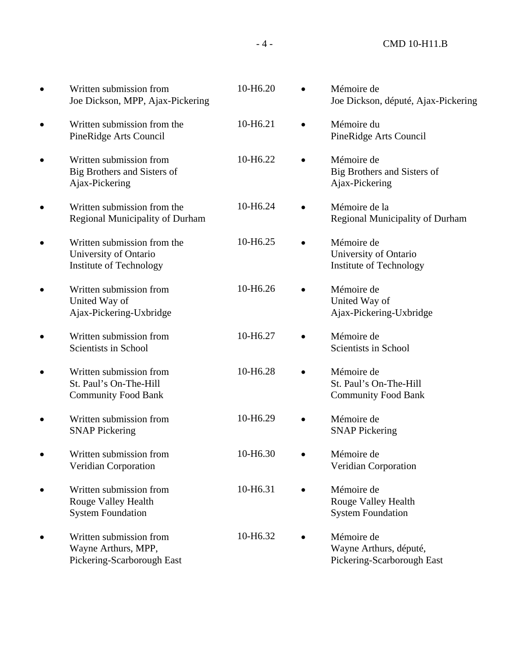- 4 - CMD 10-H11.B

| $\bullet$ | Written submission from<br>Joe Dickson, MPP, Ajax-Pickering                            | 10-H6.20 | Mémoire de<br>Joe Dickson, député, Ajax-Pickering                  |
|-----------|----------------------------------------------------------------------------------------|----------|--------------------------------------------------------------------|
| $\bullet$ | Written submission from the<br>PineRidge Arts Council                                  | 10-H6.21 | Mémoire du<br>PineRidge Arts Council                               |
|           | Written submission from<br>Big Brothers and Sisters of<br>Ajax-Pickering               | 10-H6.22 | Mémoire de<br>Big Brothers and Sisters of<br>Ajax-Pickering        |
| $\bullet$ | Written submission from the<br>Regional Municipality of Durham                         | 10-H6.24 | Mémoire de la<br><b>Regional Municipality of Durham</b>            |
| $\bullet$ | Written submission from the<br>University of Ontario<br><b>Institute of Technology</b> | 10-H6.25 | Mémoire de<br>University of Ontario<br>Institute of Technology     |
|           | Written submission from<br>United Way of<br>Ajax-Pickering-Uxbridge                    | 10-H6.26 | Mémoire de<br>United Way of<br>Ajax-Pickering-Uxbridge             |
| $\bullet$ | Written submission from<br>Scientists in School                                        | 10-H6.27 | Mémoire de<br>Scientists in School                                 |
| $\bullet$ | Written submission from<br>St. Paul's On-The-Hill<br><b>Community Food Bank</b>        | 10-H6.28 | Mémoire de<br>St. Paul's On-The-Hill<br><b>Community Food Bank</b> |
|           | Written submission from<br><b>SNAP Pickering</b>                                       | 10-H6.29 | Mémoire de<br><b>SNAP Pickering</b>                                |
|           | Written submission from<br>Veridian Corporation                                        | 10-H6.30 | Mémoire de<br>Veridian Corporation                                 |
|           | Written submission from<br><b>Rouge Valley Health</b><br><b>System Foundation</b>      | 10-H6.31 | Mémoire de<br>Rouge Valley Health<br><b>System Foundation</b>      |
|           | Written submission from<br>Wayne Arthurs, MPP,<br>Pickering-Scarborough East           | 10-H6.32 | Mémoire de<br>Wayne Arthurs, député,<br>Pickering-Scarborough East |